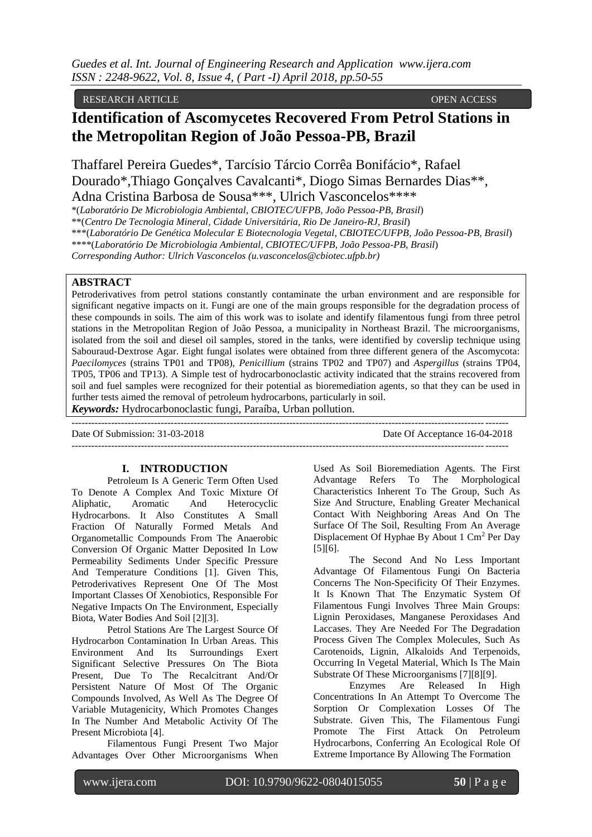RESEARCH ARTICLE OPEN ACCESS

# **Identification of Ascomycetes Recovered From Petrol Stations in the Metropolitan Region of João Pessoa-PB, Brazil**

Thaffarel Pereira Guedes\*, Tarcísio Tárcio Corrêa Bonifácio\*, Rafael Dourado\*,Thiago Gonçalves Cavalcanti\*, Diogo Simas Bernardes Dias\*\*, Adna Cristina Barbosa de Sousa\*\*\*, Ulrich Vasconcelos\*\*\*\*

\*(*Laboratório De Microbiologia Ambiental, CBIOTEC/UFPB, João Pessoa-PB, Brasil*)

\*\*(*Centro De Tecnologia Mineral, Cidade Universitária, Rio De Janeiro-RJ, Brasil*)

\*\*\*(*Laboratório De Genética Molecular E Biotecnologia Vegetal, CBIOTEC/UFPB, João Pessoa-PB, Brasil*)

\*\*\*\*(*Laboratório De Microbiologia Ambiental, CBIOTEC/UFPB, João Pessoa-PB, Brasil*)

*Corresponding Author: Ulrich Vasconcelos (u.vasconcelos@cbiotec.ufpb.br)*

## **ABSTRACT**

Petroderivatives from petrol stations constantly contaminate the urban environment and are responsible for significant negative impacts on it. Fungi are one of the main groups responsible for the degradation process of these compounds in soils. The aim of this work was to isolate and identify filamentous fungi from three petrol stations in the Metropolitan Region of João Pessoa, a municipality in Northeast Brazil. The microorganisms, isolated from the soil and diesel oil samples, stored in the tanks, were identified by coverslip technique using Sabouraud-Dextrose Agar. Eight fungal isolates were obtained from three different genera of the Ascomycota: *Paecilomyces* (strains TP01 and TP08), *Penicillium* (strains TP02 and TP07) and *Aspergillus* (strains TP04, TP05, TP06 and TP13). A Simple test of hydrocarbonoclastic activity indicated that the strains recovered from soil and fuel samples were recognized for their potential as bioremediation agents, so that they can be used in further tests aimed the removal of petroleum hydrocarbons, particularly in soil.

 $-1-\frac{1}{2}$ 

*Keywords:* Hydrocarbonoclastic fungi, Paraíba, Urban pollution.

Date Of Submission: 31-03-2018 Date Of Acceptance 16-04-2018

------------------------------------------------------------------------------------------------------------------------------------

# **I. INTRODUCTION**

Petroleum Is A Generic Term Often Used To Denote A Complex And Toxic Mixture Of Aliphatic, Aromatic And Heterocyclic Hydrocarbons. It Also Constitutes A Small Fraction Of Naturally Formed Metals And Organometallic Compounds From The Anaerobic Conversion Of Organic Matter Deposited In Low Permeability Sediments Under Specific Pressure And Temperature Conditions [1]. Given This, Petroderivatives Represent One Of The Most Important Classes Of Xenobiotics, Responsible For Negative Impacts On The Environment, Especially Biota, Water Bodies And Soil [2][3].

Petrol Stations Are The Largest Source Of Hydrocarbon Contamination In Urban Areas. This Environment And Its Surroundings Exert Significant Selective Pressures On The Biota Present, Due To The Recalcitrant And/Or Persistent Nature Of Most Of The Organic Compounds Involved, As Well As The Degree Of Variable Mutagenicity, Which Promotes Changes In The Number And Metabolic Activity Of The Present Microbiota [4].

Filamentous Fungi Present Two Major Advantages Over Other Microorganisms When

Used As Soil Bioremediation Agents. The First Advantage Refers To The Morphological Characteristics Inherent To The Group, Such As Size And Structure, Enabling Greater Mechanical Contact With Neighboring Areas And On The Surface Of The Soil, Resulting From An Average Displacement Of Hyphae By About 1 Cm<sup>2</sup> Per Day [5][6].

The Second And No Less Important Advantage Of Filamentous Fungi On Bacteria Concerns The Non-Specificity Of Their Enzymes. It Is Known That The Enzymatic System Of Filamentous Fungi Involves Three Main Groups: Lignin Peroxidases, Manganese Peroxidases And Laccases. They Are Needed For The Degradation Process Given The Complex Molecules, Such As Carotenoids, Lignin, Alkaloids And Terpenoids, Occurring In Vegetal Material, Which Is The Main Substrate Of These Microorganisms [7][8][9].

Enzymes Are Released In High Concentrations In An Attempt To Overcome The Sorption Or Complexation Losses Of The Substrate. Given This, The Filamentous Fungi Promote The First Attack On Petroleum Hydrocarbons, Conferring An Ecological Role Of Extreme Importance By Allowing The Formation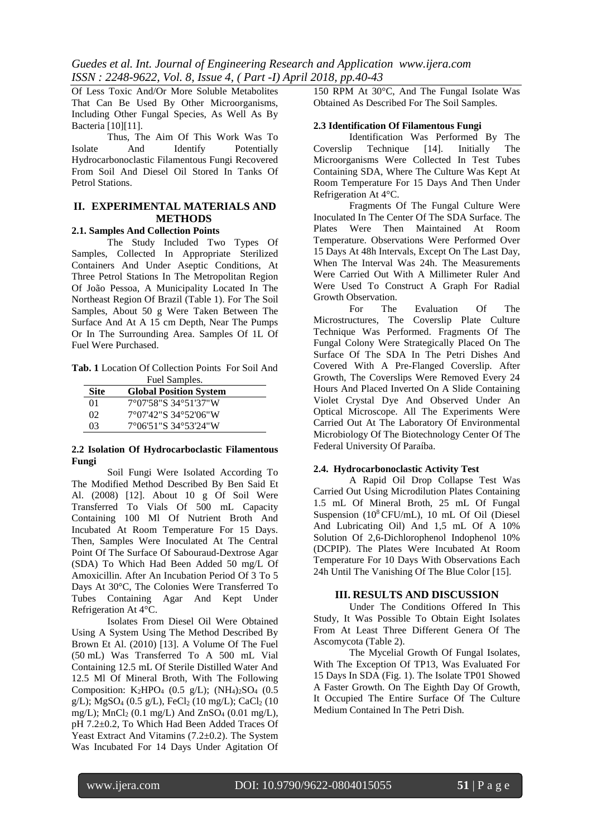Of Less Toxic And/Or More Soluble Metabolites That Can Be Used By Other Microorganisms, Including Other Fungal Species, As Well As By Bacteria [10][11].

Thus, The Aim Of This Work Was To Isolate And Identify Potentially Hydrocarbonoclastic Filamentous Fungi Recovered From Soil And Diesel Oil Stored In Tanks Of Petrol Stations.

## **II. EXPERIMENTAL MATERIALS AND METHODS**

# **2.1. Samples And Collection Points**

The Study Included Two Types Of Samples, Collected In Appropriate Sterilized Containers And Under Aseptic Conditions, At Three Petrol Stations In The Metropolitan Region Of João Pessoa, A Municipality Located In The Northeast Region Of Brazil (Table 1). For The Soil Samples, About 50 g Were Taken Between The Surface And At A 15 cm Depth, Near The Pumps Or In The Surrounding Area. Samples Of 1L Of Fuel Were Purchased.

**Tab. 1** Location Of Collection Points For Soil And Fuel Samples.

| Site | <b>Global Position System</b> |  |
|------|-------------------------------|--|
| 01   | 7°07'58"S 34°51'37"W          |  |
| 02.  | 7°07'42"S 34°52'06"W          |  |
| 03   | 7°06'51"S 34°53'24"W          |  |

#### **2.2 Isolation Of Hydrocarboclastic Filamentous Fungi**

Soil Fungi Were Isolated According To The Modified Method Described By Ben Said Et Al. (2008) [12]. About 10 g Of Soil Were Transferred To Vials Of 500 mL Capacity Containing 100 Ml Of Nutrient Broth And Incubated At Room Temperature For 15 Days. Then, Samples Were Inoculated At The Central Point Of The Surface Of Sabouraud-Dextrose Agar (SDA) To Which Had Been Added 50 mg/L Of Amoxicillin. After An Incubation Period Of 3 To 5 Days At 30°C, The Colonies Were Transferred To Tubes Containing Agar And Kept Under Refrigeration At 4°C.

Isolates From Diesel Oil Were Obtained Using A System Using The Method Described By Brown Et Al. (2010) [13]. A Volume Of The Fuel (50 mL) Was Transferred To A 500 mL Vial Containing 12.5 mL Of Sterile Distilled Water And 12.5 Ml Of Mineral Broth, With The Following Composition: K2HPO<sup>4</sup> (0.5 g/L); (NH4)2SO<sup>4</sup> (0.5 g/L); MgSO<sub>4</sub> (0.5 g/L), FeCl<sub>2</sub> (10 mg/L); CaCl<sub>2</sub> (10 mg/L);  $MnCl_2$  (0.1 mg/L) And  $ZnSO_4$  (0.01 mg/L), pH 7.2±0.2, To Which Had Been Added Traces Of Yeast Extract And Vitamins (7.2±0.2). The System Was Incubated For 14 Days Under Agitation Of 150 RPM At 30°C, And The Fungal Isolate Was Obtained As Described For The Soil Samples.

#### **2.3 Identification Of Filamentous Fungi**

Identification Was Performed By The Coverslip Technique [14]. Initially The Microorganisms Were Collected In Test Tubes Containing SDA, Where The Culture Was Kept At Room Temperature For 15 Days And Then Under Refrigeration At 4°C.

Fragments Of The Fungal Culture Were Inoculated In The Center Of The SDA Surface. The Plates Were Then Maintained At Room Temperature. Observations Were Performed Over 15 Days At 48h Intervals, Except On The Last Day, When The Interval Was 24h. The Measurements Were Carried Out With A Millimeter Ruler And Were Used To Construct A Graph For Radial Growth Observation.

For The Evaluation Of The Microstructures, The Coverslip Plate Culture Technique Was Performed. Fragments Of The Fungal Colony Were Strategically Placed On The Surface Of The SDA In The Petri Dishes And Covered With A Pre-Flanged Coverslip. After Growth, The Coverslips Were Removed Every 24 Hours And Placed Inverted On A Slide Containing Violet Crystal Dye And Observed Under An Optical Microscope. All The Experiments Were Carried Out At The Laboratory Of Environmental Microbiology Of The Biotechnology Center Of The Federal University Of Paraíba.

## **2.4. Hydrocarbonoclastic Activity Test**

A Rapid Oil Drop Collapse Test Was Carried Out Using Microdilution Plates Containing 1.5 mL Of Mineral Broth, 25 mL Of Fungal Suspension (10<sup>8</sup> CFU/mL), 10 mL Of Oil (Diesel And Lubricating Oil) And 1,5 mL Of A 10% Solution Of 2,6-Dichlorophenol Indophenol 10% (DCPIP). The Plates Were Incubated At Room Temperature For 10 Days With Observations Each 24h Until The Vanishing Of The Blue Color [15].

# **III. RESULTS AND DISCUSSION**

Under The Conditions Offered In This Study, It Was Possible To Obtain Eight Isolates From At Least Three Different Genera Of The Ascomycota (Table 2).

The Mycelial Growth Of Fungal Isolates, With The Exception Of TP13, Was Evaluated For 15 Days In SDA (Fig. 1). The Isolate TP01 Showed A Faster Growth. On The Eighth Day Of Growth, It Occupied The Entire Surface Of The Culture Medium Contained In The Petri Dish.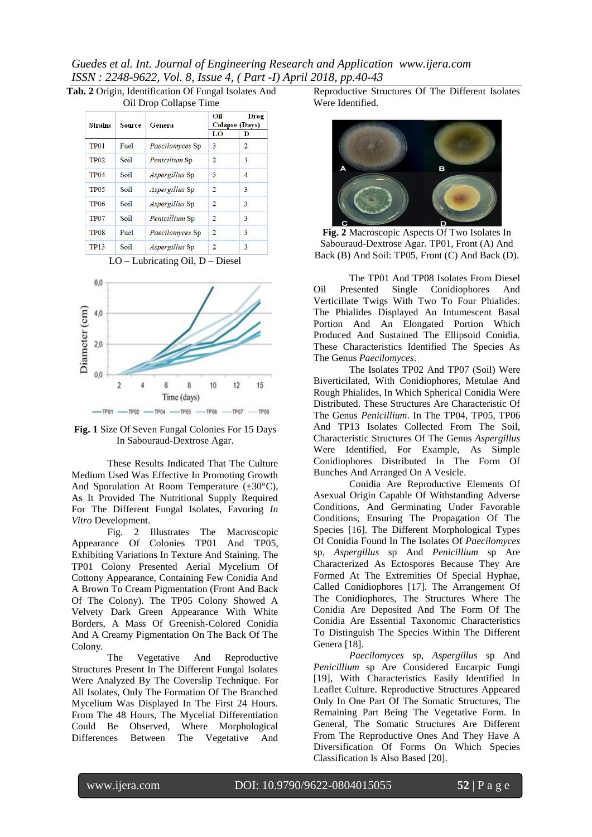*Guedes et al. Int. Journal of Engineering Research and Application www.ijera.com ISSN : 2248-9622, Vol. 8, Issue 4, ( Part -I) April 2018, pp.40-43*

| Tab. 2 Origin, Identification Of Fungal Isolates And |  |  |  |  |
|------------------------------------------------------|--|--|--|--|
| Oil Drop Collapse Time                               |  |  |  |  |

| $\frac{1}{2}$ . $\frac{1}{2}$ . $\frac{1}{2}$ . $\frac{1}{2}$ . $\frac{1}{2}$ |        |                       |                                      |   |  |  |
|-------------------------------------------------------------------------------|--------|-----------------------|--------------------------------------|---|--|--|
| Strains                                                                       | Source | Genera                | Oil<br>Drog<br><b>Colapse (Days)</b> |   |  |  |
|                                                                               |        |                       | LO                                   | D |  |  |
| TP <sub>01</sub>                                                              | Fuel   | Paecilomyces Sp       | 3                                    | 2 |  |  |
| <b>TP02</b>                                                                   | Soil   | Penicilium Sp         | 2                                    | 3 |  |  |
| TP <sub>04</sub>                                                              | Soil   | <i>Aspergillus</i> Sp | 3                                    | 4 |  |  |
| TP <sub>05</sub>                                                              | Soil   | Aspergillus Sp        | $\overline{2}$                       | 3 |  |  |
| <b>TP06</b>                                                                   | Soil   | Aspergillus Sp        | 2                                    | 3 |  |  |
| TP <sub>07</sub>                                                              | Soi1   | Penicillium Sp        | 2                                    | 3 |  |  |
| TP <sub>08</sub>                                                              | Fuel   | Paecilomyces Sp       | $\overline{2}$                       | 3 |  |  |
| TP13                                                                          | Soil   | <i>Aspergillus</i> Sp | 2                                    | 3 |  |  |





**Fig. 1** Size Of Seven Fungal Colonies For 15 Days In Sabouraud-Dextrose Agar.

These Results Indicated That The Culture Medium Used Was Effective In Promoting Growth And Sporulation At Room Temperature  $(\pm 30^{\circ}C)$ , As It Provided The Nutritional Supply Required For The Different Fungal Isolates, Favoring *In Vitro* Development.

Fig. 2 Illustrates The Macroscopic Appearance Of Colonies TP01 And TP05, Exhibiting Variations In Texture And Staining. The TP01 Colony Presented Aerial Mycelium Of Cottony Appearance, Containing Few Conidia And A Brown To Cream Pigmentation (Front And Back Of The Colony). The TP05 Colony Showed A Velvety Dark Green Appearance With White Borders, A Mass Of Greenish-Colored Conidia And A Creamy Pigmentation On The Back Of The Colony.

The Vegetative And Reproductive Structures Present In The Different Fungal Isolates Were Analyzed By The Coverslip Technique. For All Isolates, Only The Formation Of The Branched Mycelium Was Displayed In The First 24 Hours. From The 48 Hours, The Mycelial Differentiation Could Be Observed, Where Morphological Differences Between The Vegetative And

Reproductive Structures Of The Different Isolates Were Identified.



**Fig. 2** Macroscopic Aspects Of Two Isolates In Sabouraud-Dextrose Agar. TP01, Front (A) And Back (B) And Soil: TP05, Front (C) And Back (D).

The TP01 And TP08 Isolates From Diesel Oil Presented Single Conidiophores And Verticillate Twigs With Two To Four Phialides. The Phialides Displayed An Intumescent Basal Portion And An Elongated Portion Which Produced And Sustained The Ellipsoid Conidia. These Characteristics Identified The Species As The Genus *Paecilomyces*.

The Isolates TP02 And TP07 (Soil) Were Biverticilated, With Conidiophores, Metulae And Rough Phialides, In Which Spherical Conidia Were Distributed. These Structures Are Characteristic Of The Genus *Penicillium*. In The TP04, TP05, TP06 And TP13 Isolates Collected From The Soil, Characteristic Structures Of The Genus *Aspergillus* Were Identified, For Example, As Simple Conidiophores Distributed In The Form Of Bunches And Arranged On A Vesicle.

Conidia Are Reproductive Elements Of Asexual Origin Capable Of Withstanding Adverse Conditions, And Germinating Under Favorable Conditions, Ensuring The Propagation Of The Species [16]. The Different Morphological Types Of Conidia Found In The Isolates Of *Paecilomyces* sp, *Aspergillus* sp And *Penicillium* sp Are Characterized As Ectospores Because They Are Formed At The Extremities Of Special Hyphae, Called Conidiophores [17]. The Arrangement Of The Conidiophores, The Structures Where The Conidia Are Deposited And The Form Of The Conidia Are Essential Taxonomic Characteristics To Distinguish The Species Within The Different Genera [18].

*Paecilomyces* sp, *Aspergillus* sp And *Penicillium* sp Are Considered Eucarpic Fungi [19], With Characteristics Easily Identified In Leaflet Culture. Reproductive Structures Appeared Only In One Part Of The Somatic Structures, The Remaining Part Being The Vegetative Form. In General, The Somatic Structures Are Different From The Reproductive Ones And They Have A Diversification Of Forms On Which Species Classification Is Also Based [20].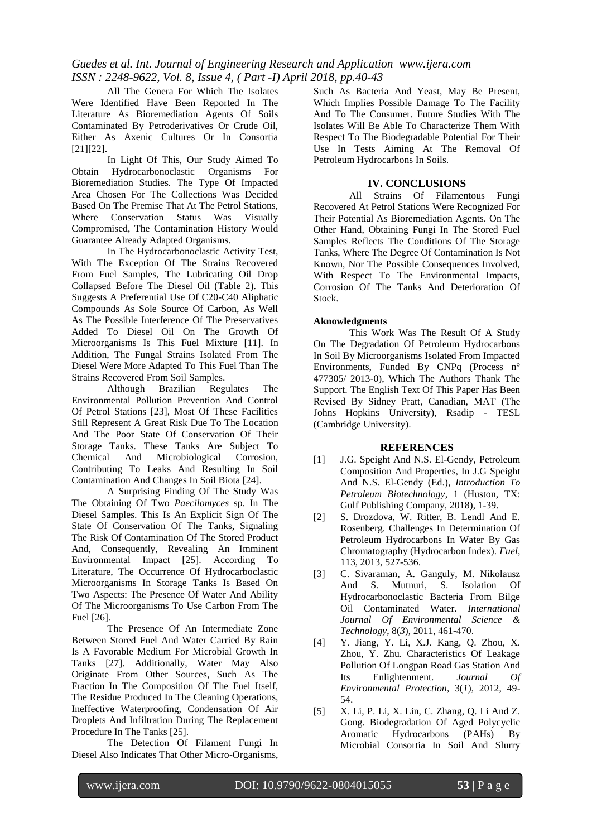*Guedes et al. Int. Journal of Engineering Research and Application www.ijera.com ISSN : 2248-9622, Vol. 8, Issue 4, ( Part -I) April 2018, pp.40-43*

All The Genera For Which The Isolates Were Identified Have Been Reported In The Literature As Bioremediation Agents Of Soils Contaminated By Petroderivatives Or Crude Oil, Either As Axenic Cultures Or In Consortia [21][22].

In Light Of This, Our Study Aimed To Obtain Hydrocarbonoclastic Organisms For Bioremediation Studies. The Type Of Impacted Area Chosen For The Collections Was Decided Based On The Premise That At The Petrol Stations, Where Conservation Status Was Visually Compromised, The Contamination History Would Guarantee Already Adapted Organisms.

In The Hydrocarbonoclastic Activity Test, With The Exception Of The Strains Recovered From Fuel Samples, The Lubricating Oil Drop Collapsed Before The Diesel Oil (Table 2). This Suggests A Preferential Use Of C20-C40 Aliphatic Compounds As Sole Source Of Carbon, As Well As The Possible Interference Of The Preservatives Added To Diesel Oil On The Growth Of Microorganisms Is This Fuel Mixture [11]. In Addition, The Fungal Strains Isolated From The Diesel Were More Adapted To This Fuel Than The Strains Recovered From Soil Samples.

Although Brazilian Regulates The Environmental Pollution Prevention And Control Of Petrol Stations [23], Most Of These Facilities Still Represent A Great Risk Due To The Location And The Poor State Of Conservation Of Their Storage Tanks. These Tanks Are Subject To Chemical And Microbiological Corrosion, Contributing To Leaks And Resulting In Soil Contamination And Changes In Soil Biota [24].

A Surprising Finding Of The Study Was The Obtaining Of Two *Paecilomyces* sp. In The Diesel Samples. This Is An Explicit Sign Of The State Of Conservation Of The Tanks, Signaling The Risk Of Contamination Of The Stored Product And, Consequently, Revealing An Imminent Environmental Impact [25]. According To Literature, The Occurrence Of Hydrocarboclastic Microorganisms In Storage Tanks Is Based On Two Aspects: The Presence Of Water And Ability Of The Microorganisms To Use Carbon From The Fuel [26].

The Presence Of An Intermediate Zone Between Stored Fuel And Water Carried By Rain Is A Favorable Medium For Microbial Growth In Tanks [27]. Additionally, Water May Also Originate From Other Sources, Such As The Fraction In The Composition Of The Fuel Itself, The Residue Produced In The Cleaning Operations, Ineffective Waterproofing, Condensation Of Air Droplets And Infiltration During The Replacement Procedure In The Tanks [25].

The Detection Of Filament Fungi In Diesel Also Indicates That Other Micro-Organisms,

Such As Bacteria And Yeast, May Be Present, Which Implies Possible Damage To The Facility And To The Consumer. Future Studies With The Isolates Will Be Able To Characterize Them With Respect To The Biodegradable Potential For Their Use In Tests Aiming At The Removal Of Petroleum Hydrocarbons In Soils.

#### **IV. CONCLUSIONS**

All Strains Of Filamentous Fungi Recovered At Petrol Stations Were Recognized For Their Potential As Bioremediation Agents. On The Other Hand, Obtaining Fungi In The Stored Fuel Samples Reflects The Conditions Of The Storage Tanks, Where The Degree Of Contamination Is Not Known, Nor The Possible Consequences Involved, With Respect To The Environmental Impacts, Corrosion Of The Tanks And Deterioration Of Stock.

#### **Aknowledgments**

This Work Was The Result Of A Study On The Degradation Of Petroleum Hydrocarbons In Soil By Microorganisms Isolated From Impacted Environments, Funded By CNPq (Process n° 477305/ 2013-0), Which The Authors Thank The Support. The English Text Of This Paper Has Been Revised By Sidney Pratt, Canadian, MAT (The Johns Hopkins University), Rsadip - TESL (Cambridge University).

## **REFERENCES**

- [1] J.G. Speight And N.S. El-Gendy, Petroleum Composition And Properties, In J.G Speight And N.S. El-Gendy (Ed.), *Introduction To Petroleum Biotechnology*, 1 (Huston, TX: Gulf Publishing Company, 2018), 1-39.
- [2] S. Drozdova, W. Ritter, B. Lendl And E. Rosenberg. Challenges In Determination Of Petroleum Hydrocarbons In Water By Gas Chromatography (Hydrocarbon Index). *Fuel*, 113, 2013, 527-536.
- [3] C. Sivaraman, A. Ganguly, M. Nikolausz And S. Mutnuri, S. Isolation Of Hydrocarbonoclastic Bacteria From Bilge Oil Contaminated Water. *International Journal Of Environmental Science & Technology*, 8(*3*), 2011, 461-470.
- [4] Y. Jiang, Y. Li, X.J. Kang, Q. Zhou, X. Zhou, Y. Zhu. Characteristics Of Leakage Pollution Of Longpan Road Gas Station And Its Enlightenment. *Journal Of Environmental Protection*, 3(*1*), 2012, 49- 54.
- [5] X. Li, P. Li, X. Lin, C. Zhang, Q. Li And Z. Gong. Biodegradation Of Aged Polycyclic Aromatic Hydrocarbons (PAHs) By Microbial Consortia In Soil And Slurry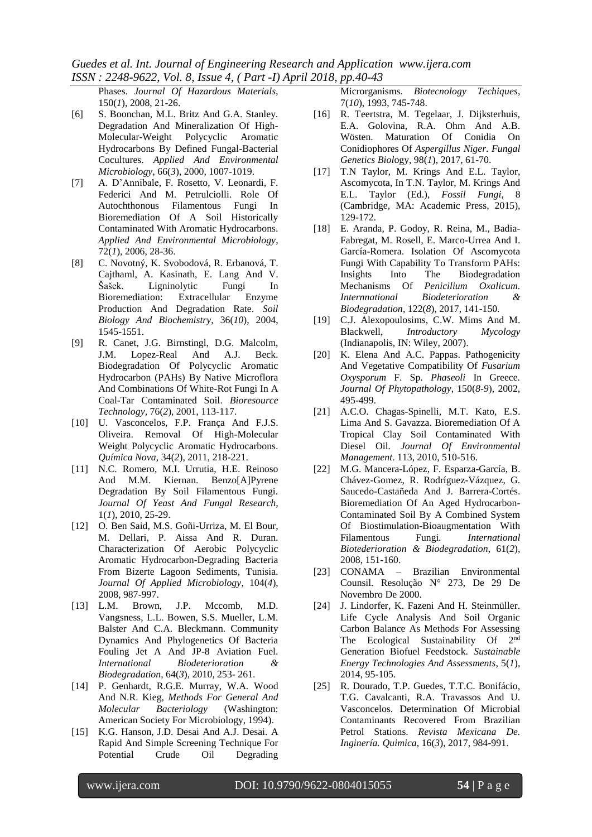*Guedes et al. Int. Journal of Engineering Research and Application www.ijera.com ISSN : 2248-9622, Vol. 8, Issue 4, ( Part -I) April 2018, pp.40-43*

Phases. *Journal Of Hazardous Materials*, 150(*1*), 2008, 21-26.

- [6] S. Boonchan, M.L. Britz And G.A. Stanley. Degradation And Mineralization Of High-Molecular-Weight Polycyclic Aromatic Hydrocarbons By Defined Fungal-Bacterial Cocultures. *Applied And Environmental Microbiology*, 66(*3*), 2000, 1007-1019.
- [7] A. D'Annibale, F. Rosetto, V. Leonardi, F. Federici And M. Petrulciolli. Role Of Autochthonous Filamentous Fungi In Bioremediation Of A Soil Historically Contaminated With Aromatic Hydrocarbons. *Applied And Environmental Microbiology*, 72(*1*), 2006, 28-36.
- [8] C. Novotný, K. Svobodová, R. Erbanová, T. Cajthaml, A. Kasinath, E. Lang And V. Šašek. Ligninolytic Fungi In Bioremediation: Extracellular Enzyme Production And Degradation Rate. *Soil Biology And Biochemistry*, 36(*10*), 2004, 1545-1551.
- [9] R. Canet, J.G. Birnstingl, D.G. Malcolm, J.M. Lopez-Real And A.J. Beck. Biodegradation Of Polycyclic Aromatic Hydrocarbon (PAHs) By Native Microflora And Combinations Of White-Rot Fungi In A Coal-Tar Contaminated Soil. *Bioresource Technology,* 76(*2*), 2001, 113-117.
- [10] U. Vasconcelos, F.P. França And F.J.S. Oliveira. Removal Of High-Molecular Weight Polycyclic Aromatic Hydrocarbons. *Química Nova*, 34(*2*), 2011, 218-221.
- [11] N.C. Romero, M.I. Urrutia, H.E. Reinoso And M.M. Kiernan. Benzo[A]Pyrene Degradation By Soil Filamentous Fungi. *Journal Of Yeast And Fungal Research,* 1(*1*), 2010, 25-29.
- [12] O. Ben Said, M.S. Goñi-Urriza, M. El Bour, M. Dellari, P. Aissa And R. Duran. Characterization Of Aerobic Polycyclic Aromatic Hydrocarbon-Degrading Bacteria From Bizerte Lagoon Sediments, Tunisia. *Journal Of Applied Microbiology*, 104(*4*), 2008, 987-997.
- [13] L.M. Brown, J.P. Mccomb, M.D. Vangsness, L.L. Bowen, S.S. Mueller, L.M. Balster And C.A. Bleckmann. Community Dynamics And Phylogenetics Of Bacteria Fouling Jet A And JP-8 Aviation Fuel. *International Biodeterioration & Biodegradation*, 64(*3*), 2010, 253- 261.
- [14] P. Genhardt, R.G.E. Murray, W.A. Wood And N.R. Kieg, *Methods For General And Molecular Bacteriology* (Washington: American Society For Microbiology, 1994).
- [15] K.G. Hanson, J.D. Desai And A.J. Desai. A Rapid And Simple Screening Technique For Potential Crude Oil Degrading

Microrganisms*. Biotecnology Techiques*, 7(*10*), 1993, 745-748.

- [16] R. Teertstra, M. Tegelaar, J. Dijksterhuis, E.A. Golovina, R.A. Ohm And A.B. Wösten. Maturation Of Conidia On Conidiophores Of *Aspergillus Niger*. *Fungal Genetics Biol*ogy, 98(*1*), 2017, 61-70.
- [17] T.N Taylor, M. Krings And E.L. Taylor, Ascomycota, In T.N. Taylor, M. Krings And E.L. Taylor (Ed.), *Fossil Fungi*, 8 (Cambridge, MA: Academic Press, 2015), 129-172.
- [18] E. Aranda, P. Godoy, R. Reina, M., Badia-Fabregat, M. Rosell, E. Marco-Urrea And I. García-Romera. Isolation Of Ascomycota Fungi With Capability To Transform PAHs: Insights Into The Biodegradation Mechanisms Of *Penicilium Oxalicum. Internnational Biodeterioration & Biodegradation*, 122(*8*), 2017, 141-150.
- [19] C.J. Alexopoulosims, C.W. Mims And M. Blackwell, *Introductory Mycology* (Indianapolis, IN: Wiley, 2007).
- [20] K. Elena And A.C. Pappas. Pathogenicity And Vegetative Compatibility Of *Fusarium Oxysporum* F. Sp. *Phaseoli* In Greece*. Journal Of Phytopathology*, 150(*8-9*), 2002, 495-499.
- [21] A.C.O. Chagas-Spinelli, M.T. Kato, E.S. Lima And S. Gavazza. Bioremediation Of A Tropical Clay Soil Contaminated With Diesel Oil*. Journal Of Environmental Management*. 113, 2010, 510-516.
- [22] M.G. Mancera-López, F. Esparza-García, B. Chávez-Gomez, R. Rodríguez-Vázquez, G. Saucedo-Castañeda And J. Barrera-Cortés. Bioremediation Of An Aged Hydrocarbon-Contaminated Soil By A Combined System Of Biostimulation-Bioaugmentation With Filamentous Fungi*. International Biotederioration & Biodegradation*, 61(*2*), 2008, 151-160.
- [23] CONAMA Brazilian Environmental Counsil. Resolução N° 273, De 29 De Novembro De 2000.
- [24] J. Lindorfer, K. Fazeni And H. Steinmüller. Life Cycle Analysis And Soil Organic Carbon Balance As Methods For Assessing The Ecological Sustainability Of 2nd Generation Biofuel Feedstock. *Sustainable Energy Technologies And Assessments*, 5(*1*), 2014, 95-105.
- [25] R. Dourado, T.P. Guedes, T.T.C. Bonifácio, T.G. Cavalcanti, R.A. Travassos And U. Vasconcelos. Determination Of Microbial Contaminants Recovered From Brazilian Petrol Stations. *Revista Mexicana De. Inginería. Quimica*, 16(*3*), 2017, 984-991.